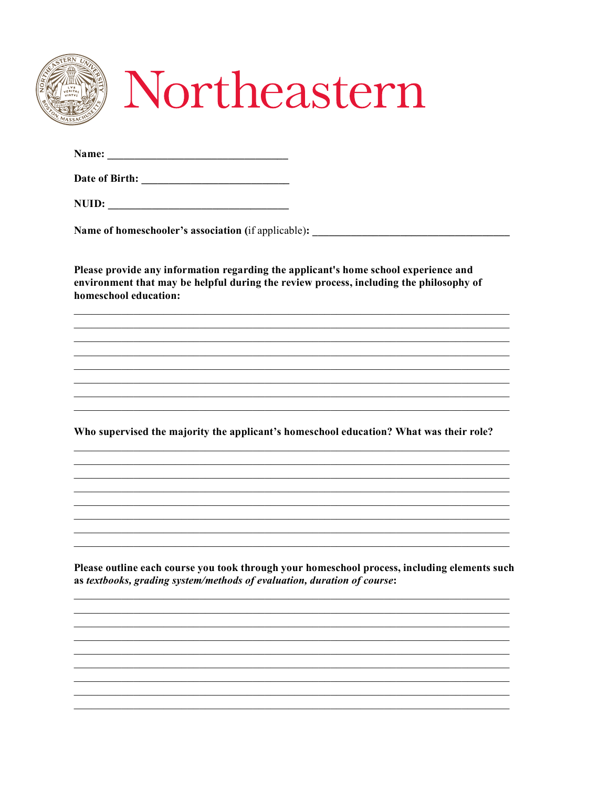|                       | <b>Name of homeschooler's association</b> (if applicable):                                                                                                                    |
|-----------------------|-------------------------------------------------------------------------------------------------------------------------------------------------------------------------------|
| homeschool education: | Please provide any information regarding the applicant's home school experience and<br>environment that may be helpful during the review process, including the philosophy of |
|                       |                                                                                                                                                                               |
|                       |                                                                                                                                                                               |
|                       |                                                                                                                                                                               |
|                       | Who supervised the majority the applicant's homeschool education? What was their role?                                                                                        |
|                       |                                                                                                                                                                               |
|                       |                                                                                                                                                                               |
|                       |                                                                                                                                                                               |
|                       | Please outline each course you took through your homeschool process, including elements such<br>as textbooks, grading system/methods of evaluation, duration of course:       |
|                       |                                                                                                                                                                               |